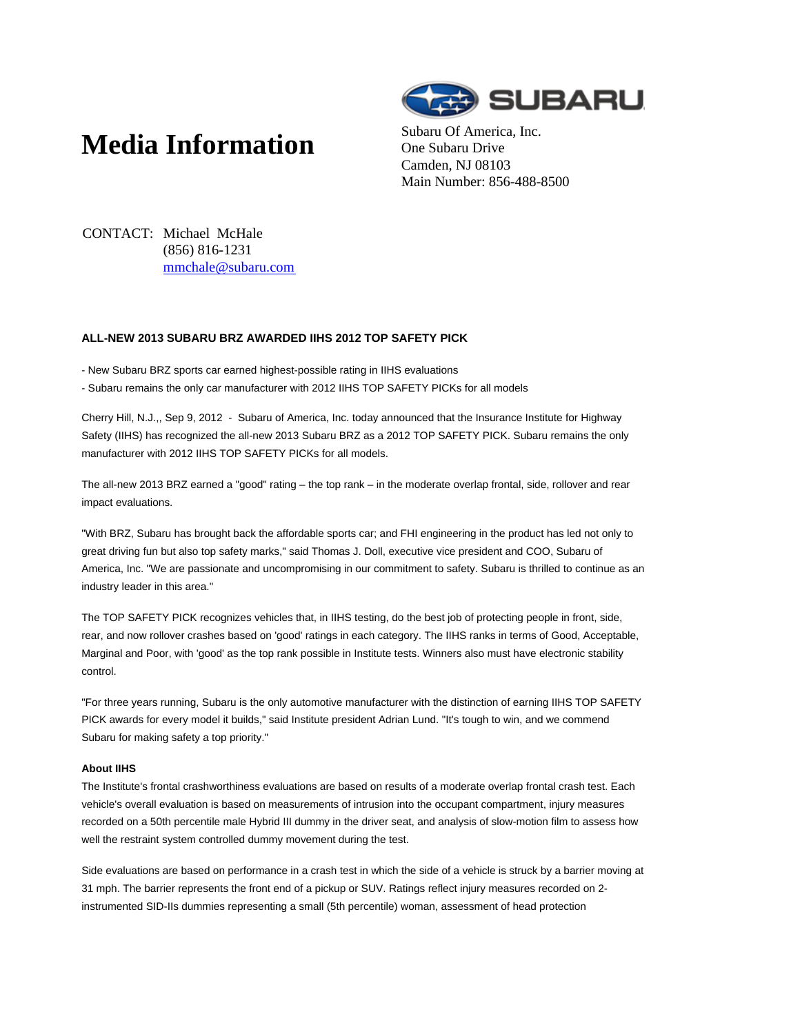## **Media Information** Subaru Of America, Inc.



One Subaru Drive Camden, NJ 08103 Main Number: 856-488-8500

CONTACT: Michael McHale (856) 816-1231 mmchale@subaru.com

## **ALL-NEW 2013 SUBARU BRZ AWARDED IIHS 2012 TOP SAFETY PICK**

- New Subaru BRZ sports car earned highest-possible rating in IIHS evaluations
- Subaru remains the only car manufacturer with 2012 IIHS TOP SAFETY PICKs for all models

Cherry Hill, N.J.,, Sep 9, 2012 - Subaru of America, Inc. today announced that the Insurance Institute for Highway Safety (IIHS) has recognized the all-new 2013 Subaru BRZ as a 2012 TOP SAFETY PICK. Subaru remains the only manufacturer with 2012 IIHS TOP SAFETY PICKs for all models.

The all-new 2013 BRZ earned a "good" rating – the top rank – in the moderate overlap frontal, side, rollover and rear impact evaluations.

"With BRZ, Subaru has brought back the affordable sports car; and FHI engineering in the product has led not only to great driving fun but also top safety marks," said Thomas J. Doll, executive vice president and COO, Subaru of America, Inc. "We are passionate and uncompromising in our commitment to safety. Subaru is thrilled to continue as an industry leader in this area."

The TOP SAFETY PICK recognizes vehicles that, in IIHS testing, do the best job of protecting people in front, side, rear, and now rollover crashes based on 'good' ratings in each category. The IIHS ranks in terms of Good, Acceptable, Marginal and Poor, with 'good' as the top rank possible in Institute tests. Winners also must have electronic stability control.

"For three years running, Subaru is the only automotive manufacturer with the distinction of earning IIHS TOP SAFETY PICK awards for every model it builds," said Institute president Adrian Lund. "It's tough to win, and we commend Subaru for making safety a top priority."

## **About IIHS**

The Institute's frontal crashworthiness evaluations are based on results of a moderate overlap frontal crash test. Each vehicle's overall evaluation is based on measurements of intrusion into the occupant compartment, injury measures recorded on a 50th percentile male Hybrid III dummy in the driver seat, and analysis of slow-motion film to assess how well the restraint system controlled dummy movement during the test.

Side evaluations are based on performance in a crash test in which the side of a vehicle is struck by a barrier moving at 31 mph. The barrier represents the front end of a pickup or SUV. Ratings reflect injury measures recorded on 2 instrumented SID-IIs dummies representing a small (5th percentile) woman, assessment of head protection